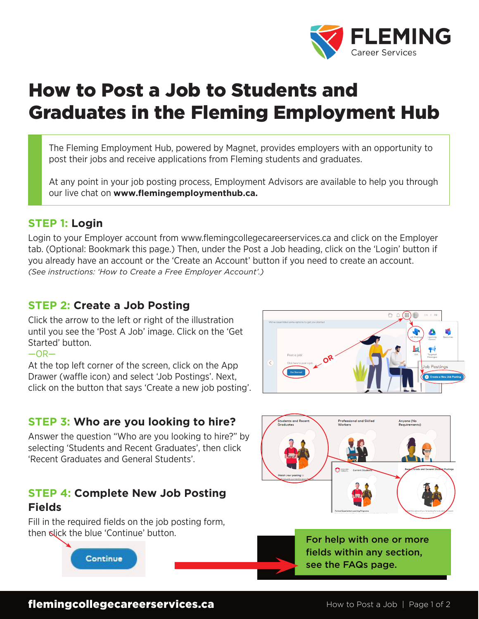

# How to Post a Job to Students and Graduates in the Fleming Employment Hub

The Fleming Employment Hub, powered by Magnet, provides employers with an opportunity to post their jobs and receive applications from Fleming students and graduates.

At any point in your job posting process, Employment Advisors are available to help you through our live chat on **www.flemingemploymenthub.ca.**

#### **STEP 1: Login**

Login to your Employer account from www.flemingcollegecareerservices.ca and click on the Employer tab. (Optional: Bookmark this page.) Then, under the Post a Job heading, click on the 'Login' button if you already have an account or the 'Create an Account' button if you need to create an account. *(See instructions: 'How to Create a Free Employer Account'.)*

#### **STEP 2: Create a Job Posting**

Click the arrow to the left or right of the illustration until you see the 'Post A Job' image. Click on the 'Get Started' button.

#### $-$ OR $-$

At the top left corner of the screen, click on the App Drawer (waffle icon) and select 'Job Postings'. Next, click on the button that says 'Create a new job posting'.



## **STEP 3: Who are you looking to hire?**

Answer the question "Who are you looking to hire?" by selecting 'Students and Recent Graduates', then click 'Recent Graduates and General Students'.

#### **STEP 4: Complete New Job Posting Fields**

Fill in the required fields on the job posting form, then slick the blue 'Continue' button.







#### **flemingcollegecareerservices.ca** How to Post a Job | Page 1 of 2